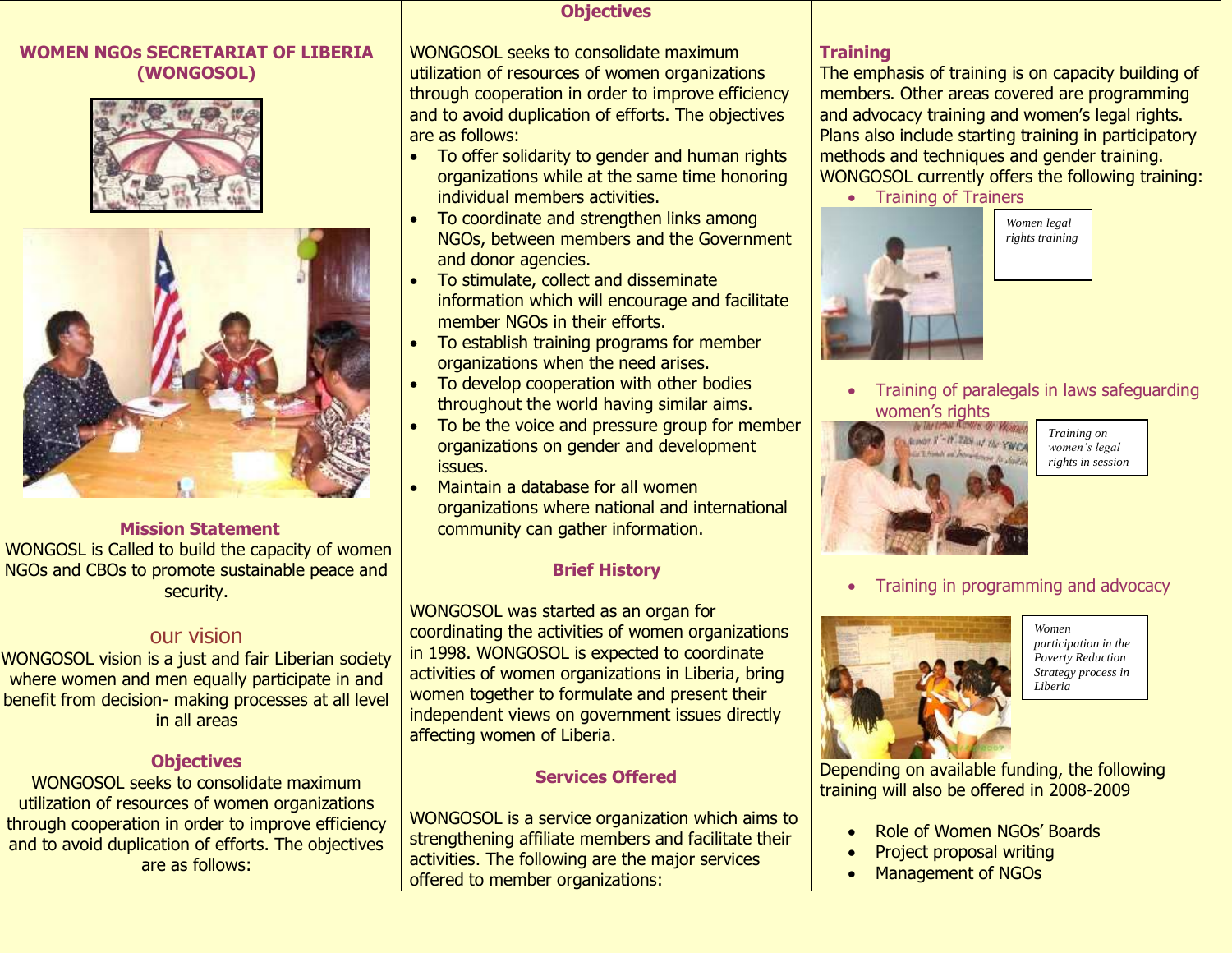#### **WOMEN NGOs SECRETARIAT OF LIBERIA (WONGOSOL)**





#### **Mission Statement**

WONGOSL is Called to build the capacity of women NGOs and CBOs to promote sustainable peace and security.

# our vision

WONGOSOL vision is a just and fair Liberian society where women and men equally participate in and benefit from decision- making processes at all level in all areas

### **Objectives**

WONGOSOL seeks to consolidate maximum utilization of resources of women organizations through cooperation in order to improve efficiency and to avoid duplication of efforts. The objectives are as follows:

#### **Objectives**

WONGOSOL seeks to consolidate maximum utilization of resources of women organizations through cooperation in order to improve efficiency and to avoid duplication of efforts. The objectives are as follows:

- To offer solidarity to gender and human rights organizations while at the same time honoring individual members activities.
- To coordinate and strengthen links among NGOs, between members and the Government and donor agencies.
- To stimulate, collect and disseminate information which will encourage and facilitate member NGOs in their efforts.
- To establish training programs for member organizations when the need arises.
- To develop cooperation with other bodies throughout the world having similar aims.
- To be the voice and pressure group for member organizations on gender and development issues.
- Maintain a database for all women organizations where national and international community can gather information.

### **Brief History**

WONGOSOL was started as an organ for coordinating the activities of women organizations in 1998. WONGOSOL is expected to coordinate activities of women organizations in Liberia, bring women together to formulate and present their independent views on government issues directly affecting women of Liberia.

## **Services Offered**

WONGOSOL is a service organization which aims to strengthening affiliate members and facilitate their activities. The following are the major services offered to member organizations:

#### **Training**

The emphasis of training is on capacity building of members. Other areas covered are programming and advocacy training and women's legal rights. Plans also include starting training in participatory methods and techniques and gender training. WONGOSOL currently offers the following training:

• Training of Trainers



*Women legal rights training*

 Training of paralegals in laws safeguarding women's rights



*Training on women's legal rights in session* 

Training in programming and advocacy



*Women participation in the Poverty Reduction Strategy process in Liberia*

Depending on available funding, the following training will also be offered in 2008-2009

- Role of Women NGOs' Boards
- Project proposal writing
- Management of NGOs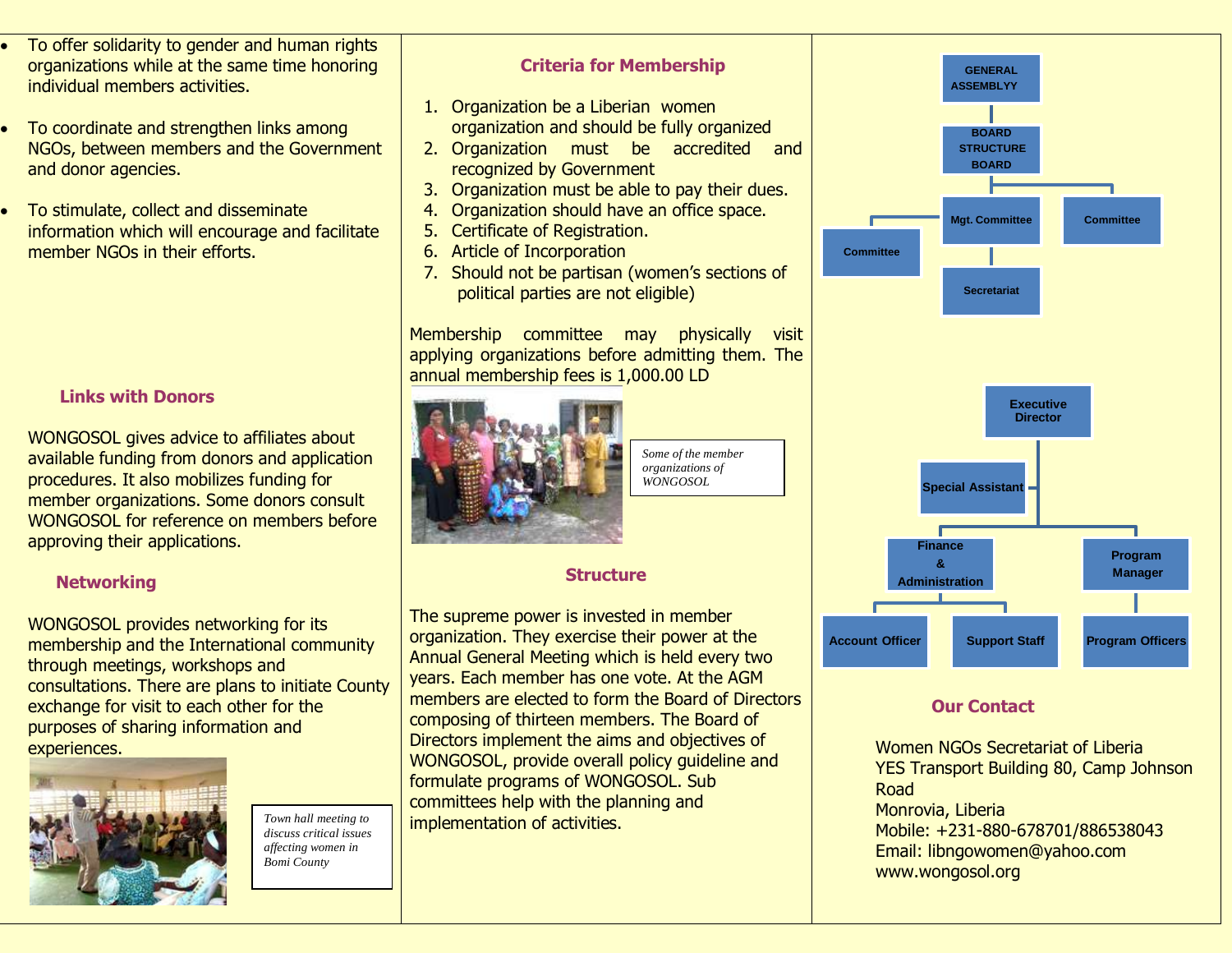- To offer solidarity to gender and human rights organizations while at the same time honoring individual members activities.
- To coordinate and strengthen links among NGOs, between members and the Government and donor agencies.
- To stimulate, collect and disseminate information which will encourage and facilitate member NGOs in their efforts.

### **Links with Donors**

WONGOSOL gives advice to affiliates about available funding from donors and application procedures. It also mobilizes funding for member organizations. Some donors consult WONGOSOL for reference on members before approving their applications.

#### **Networking**

WONGOSOL provides networking for its membership and the International community through meetings, workshops and consultations. There are plans to initiate County exchange for visit to each other for the purposes of sharing information and experiences.



*Town hall meeting to discuss critical issues affecting women in Bomi County* 

#### **Criteria for Membership**

- 1. Organization be a Liberian women organization and should be fully organized
- 2. Organization must be accredited and recognized by Government
- 3. Organization must be able to pay their dues.
- 4. Organization should have an office space.
- 5. Certificate of Registration.
- 6. Article of Incorporation
- 7. Should not be partisan (women's sections of political parties are not eligible)

Membership committee may physically visit applying organizations before admitting them. The annual membership fees is 1,000.00 LD



*Some of the member organizations of WONGOSOL*

## **Structure**

The supreme power is invested in member organization. They exercise their power at the Annual General Meeting which is held every two years. Each member has one vote. At the AGM members are elected to form the Board of Directors composing of thirteen members. The Board of Directors implement the aims and objectives of WONGOSOL, provide overall policy guideline and formulate programs of WONGOSOL. Sub committees help with the planning and implementation of activities.



### **Our Contact**

Women NGOs Secretariat of Liberia YES Transport Building 80, Camp Johnson Road Monrovia, Liberia Mobile: +231-880-678701/886538043 Email: libngowomen@yahoo.com www.wongosol.org